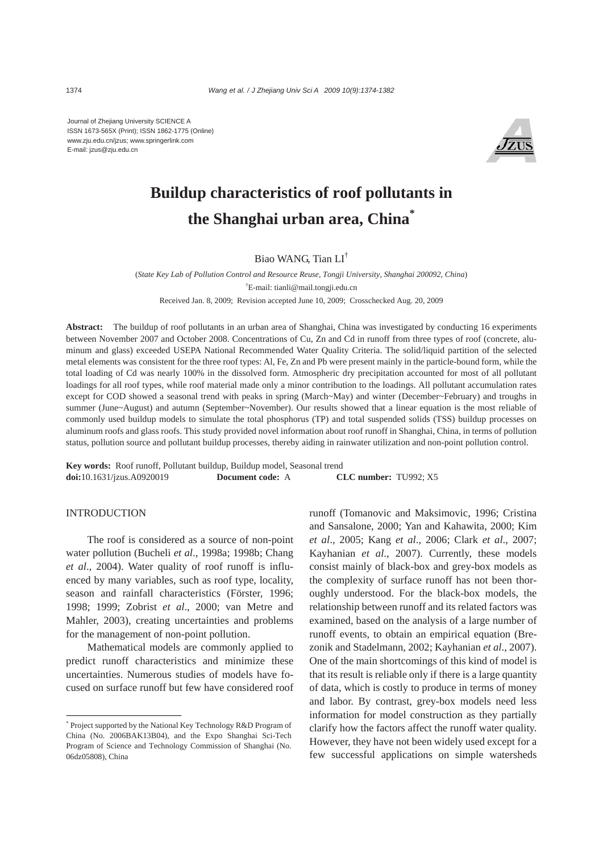Journal of Zhejiang University SCIENCE A ISSN 1673-565X (Print); ISSN 1862-1775 (Online) www.zju.edu.cn/jzus; www.springerlink.com E-mail: jzus@zju.edu.cn



# **Buildup characteristics of roof pollutants in the Shanghai urban area, China\***

## Biao WANG, Tian LI†

(*State Key Lab of Pollution Control and Resource Reuse, Tongji University, Shanghai 200092, China*) † E-mail: tianli@mail.tongji.edu.cn Received Jan. 8, 2009; Revision accepted June 10, 2009; Crosschecked Aug. 20, 2009

**Abstract:** The buildup of roof pollutants in an urban area of Shanghai, China was investigated by conducting 16 experiments between November 2007 and October 2008. Concentrations of Cu, Zn and Cd in runoff from three types of roof (concrete, aluminum and glass) exceeded USEPA National Recommended Water Quality Criteria. The solid/liquid partition of the selected metal elements was consistent for the three roof types: Al, Fe, Zn and Pb were present mainly in the particle-bound form, while the total loading of Cd was nearly 100% in the dissolved form. Atmospheric dry precipitation accounted for most of all pollutant loadings for all roof types, while roof material made only a minor contribution to the loadings. All pollutant accumulation rates except for COD showed a seasonal trend with peaks in spring (March~May) and winter (December~February) and troughs in summer (June~August) and autumn (September~November). Our results showed that a linear equation is the most reliable of commonly used buildup models to simulate the total phosphorus (TP) and total suspended solids (TSS) buildup processes on aluminum roofs and glass roofs. This study provided novel information about roof runoff in Shanghai, China, in terms of pollution status, pollution source and pollutant buildup processes, thereby aiding in rainwater utilization and non-point pollution control.

**Key words:** Roof runoff, Pollutant buildup, Buildup model, Seasonal trend **doi:**10.1631/jzus.A0920019 **Document code:** A **CLC number:** TU992; X5

## INTRODUCTION

The roof is considered as a source of non-point water pollution (Bucheli *et al*., 1998a; 1998b; Chang *et al*., 2004). Water quality of roof runoff is influenced by many variables, such as roof type, locality, season and rainfall characteristics (Förster, 1996; 1998; 1999; Zobrist *et al*., 2000; van Metre and Mahler, 2003), creating uncertainties and problems for the management of non-point pollution.

Mathematical models are commonly applied to predict runoff characteristics and minimize these uncertainties. Numerous studies of models have focused on surface runoff but few have considered roof runoff (Tomanovic and Maksimovic, 1996; Cristina and Sansalone, 2000; Yan and Kahawita, 2000; Kim *et al*., 2005; Kang *et al*., 2006; Clark *et al*., 2007; Kayhanian *et al*., 2007). Currently, these models consist mainly of black-box and grey-box models as the complexity of surface runoff has not been thoroughly understood. For the black-box models, the relationship between runoff and its related factors was examined, based on the analysis of a large number of runoff events, to obtain an empirical equation (Brezonik and Stadelmann, 2002; Kayhanian *et al*., 2007). One of the main shortcomings of this kind of model is that its result is reliable only if there is a large quantity of data, which is costly to produce in terms of money and labor. By contrast, grey-box models need less information for model construction as they partially clarify how the factors affect the runoff water quality. However, they have not been widely used except for a few successful applications on simple watersheds

<sup>\*</sup> Project supported by the National Key Technology R&D Program of China (No. 2006BAK13B04), and the Expo Shanghai Sci-Tech Program of Science and Technology Commission of Shanghai (No. 06dz05808), China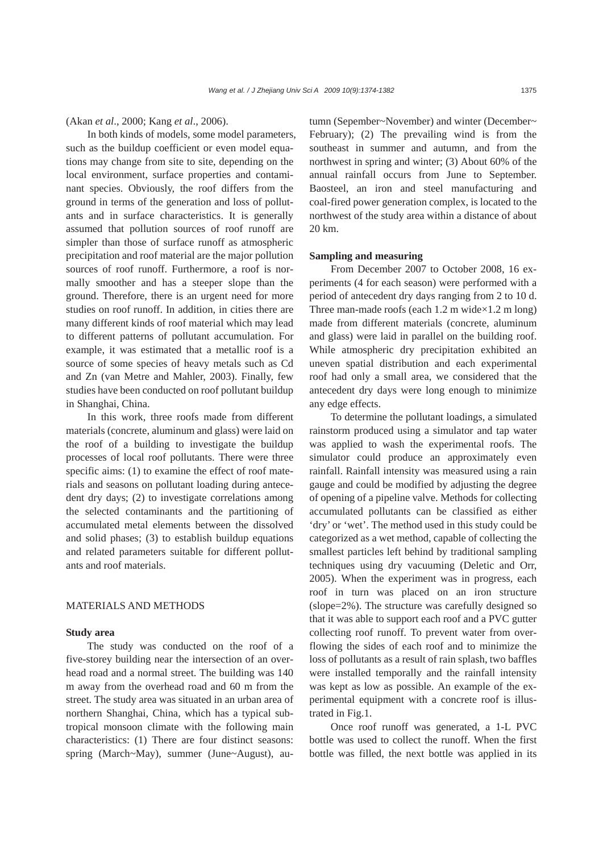#### (Akan *et al*., 2000; Kang *et al*., 2006).

In both kinds of models, some model parameters, such as the buildup coefficient or even model equations may change from site to site, depending on the local environment, surface properties and contaminant species. Obviously, the roof differs from the ground in terms of the generation and loss of pollutants and in surface characteristics. It is generally assumed that pollution sources of roof runoff are simpler than those of surface runoff as atmospheric precipitation and roof material are the major pollution sources of roof runoff. Furthermore, a roof is normally smoother and has a steeper slope than the ground. Therefore, there is an urgent need for more studies on roof runoff. In addition, in cities there are many different kinds of roof material which may lead to different patterns of pollutant accumulation. For example, it was estimated that a metallic roof is a source of some species of heavy metals such as Cd and Zn (van Metre and Mahler, 2003). Finally, few studies have been conducted on roof pollutant buildup in Shanghai, China.

In this work, three roofs made from different materials (concrete, aluminum and glass) were laid on the roof of a building to investigate the buildup processes of local roof pollutants. There were three specific aims: (1) to examine the effect of roof materials and seasons on pollutant loading during antecedent dry days; (2) to investigate correlations among the selected contaminants and the partitioning of accumulated metal elements between the dissolved and solid phases; (3) to establish buildup equations and related parameters suitable for different pollutants and roof materials.

## MATERIALS AND METHODS

#### **Study area**

The study was conducted on the roof of a five-storey building near the intersection of an overhead road and a normal street. The building was 140 m away from the overhead road and 60 m from the street. The study area was situated in an urban area of northern Shanghai, China, which has a typical subtropical monsoon climate with the following main characteristics: (1) There are four distinct seasons: spring (March~May), summer (June~August), autumn (Sepember~November) and winter (December~ February); (2) The prevailing wind is from the southeast in summer and autumn, and from the northwest in spring and winter; (3) About 60% of the annual rainfall occurs from June to September. Baosteel, an iron and steel manufacturing and coal-fired power generation complex, is located to the northwest of the study area within a distance of about 20 km.

### **Sampling and measuring**

From December 2007 to October 2008, 16 experiments (4 for each season) were performed with a period of antecedent dry days ranging from 2 to 10 d. Three man-made roofs (each  $1.2$  m wide $\times$ 1.2 m long) made from different materials (concrete, aluminum and glass) were laid in parallel on the building roof. While atmospheric dry precipitation exhibited an uneven spatial distribution and each experimental roof had only a small area, we considered that the antecedent dry days were long enough to minimize any edge effects.

To determine the pollutant loadings, a simulated rainstorm produced using a simulator and tap water was applied to wash the experimental roofs. The simulator could produce an approximately even rainfall. Rainfall intensity was measured using a rain gauge and could be modified by adjusting the degree of opening of a pipeline valve. Methods for collecting accumulated pollutants can be classified as either 'dry' or 'wet'. The method used in this study could be categorized as a wet method, capable of collecting the smallest particles left behind by traditional sampling techniques using dry vacuuming (Deletic and Orr, 2005). When the experiment was in progress, each roof in turn was placed on an iron structure (slope=2%). The structure was carefully designed so that it was able to support each roof and a PVC gutter collecting roof runoff. To prevent water from overflowing the sides of each roof and to minimize the loss of pollutants as a result of rain splash, two baffles were installed temporally and the rainfall intensity was kept as low as possible. An example of the experimental equipment with a concrete roof is illustrated in Fig.1.

Once roof runoff was generated, a 1-L PVC bottle was used to collect the runoff. When the first bottle was filled, the next bottle was applied in its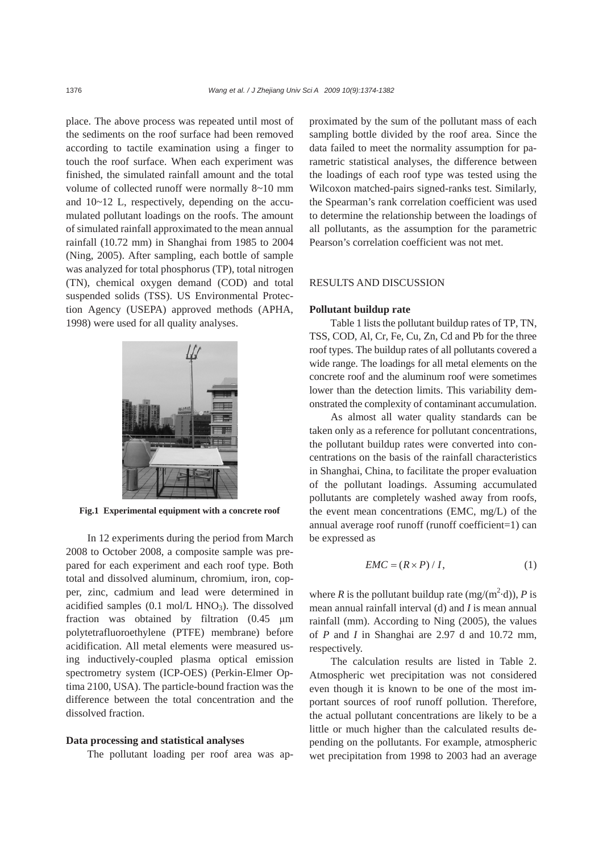place. The above process was repeated until most of the sediments on the roof surface had been removed according to tactile examination using a finger to touch the roof surface. When each experiment was finished, the simulated rainfall amount and the total volume of collected runoff were normally 8~10 mm and 10~12 L, respectively, depending on the accumulated pollutant loadings on the roofs. The amount of simulated rainfall approximated to the mean annual rainfall (10.72 mm) in Shanghai from 1985 to 2004 (Ning, 2005). After sampling, each bottle of sample was analyzed for total phosphorus (TP), total nitrogen (TN), chemical oxygen demand (COD) and total suspended solids (TSS). US Environmental Protection Agency (USEPA) approved methods (APHA, 1998) were used for all quality analyses.



**Fig.1 Experimental equipment with a concrete roof** 

In 12 experiments during the period from March 2008 to October 2008, a composite sample was prepared for each experiment and each roof type. Both total and dissolved aluminum, chromium, iron, copper, zinc, cadmium and lead were determined in acidified samples  $(0.1 \text{ mol/L HNO}_3)$ . The dissolved fraction was obtained by filtration (0.45 μm polytetrafluoroethylene (PTFE) membrane) before acidification. All metal elements were measured using inductively-coupled plasma optical emission spectrometry system (ICP-OES) (Perkin-Elmer Optima 2100, USA). The particle-bound fraction was the difference between the total concentration and the dissolved fraction.

#### **Data processing and statistical analyses**

The pollutant loading per roof area was ap-

proximated by the sum of the pollutant mass of each sampling bottle divided by the roof area. Since the data failed to meet the normality assumption for parametric statistical analyses, the difference between the loadings of each roof type was tested using the Wilcoxon matched-pairs signed-ranks test. Similarly, the Spearman's rank correlation coefficient was used to determine the relationship between the loadings of all pollutants, as the assumption for the parametric Pearson's correlation coefficient was not met.

## RESULTS AND DISCUSSION

#### **Pollutant buildup rate**

Table 1 lists the pollutant buildup rates of TP, TN, TSS, COD, Al, Cr, Fe, Cu, Zn, Cd and Pb for the three roof types. The buildup rates of all pollutants covered a wide range. The loadings for all metal elements on the concrete roof and the aluminum roof were sometimes lower than the detection limits. This variability demonstrated the complexity of contaminant accumulation.

As almost all water quality standards can be taken only as a reference for pollutant concentrations, the pollutant buildup rates were converted into concentrations on the basis of the rainfall characteristics in Shanghai, China, to facilitate the proper evaluation of the pollutant loadings. Assuming accumulated pollutants are completely washed away from roofs, the event mean concentrations (EMC, mg/L) of the annual average roof runoff (runoff coefficient=1) can be expressed as

$$
EMC = (R \times P) / I, \tag{1}
$$

where *R* is the pollutant buildup rate  $(mg/(m^2 \cdot d))$ , *P* is mean annual rainfall interval (d) and *I* is mean annual rainfall (mm). According to Ning (2005), the values of *P* and *I* in Shanghai are 2.97 d and 10.72 mm, respectively.

The calculation results are listed in Table 2. Atmospheric wet precipitation was not considered even though it is known to be one of the most important sources of roof runoff pollution. Therefore, the actual pollutant concentrations are likely to be a little or much higher than the calculated results depending on the pollutants. For example, atmospheric wet precipitation from 1998 to 2003 had an average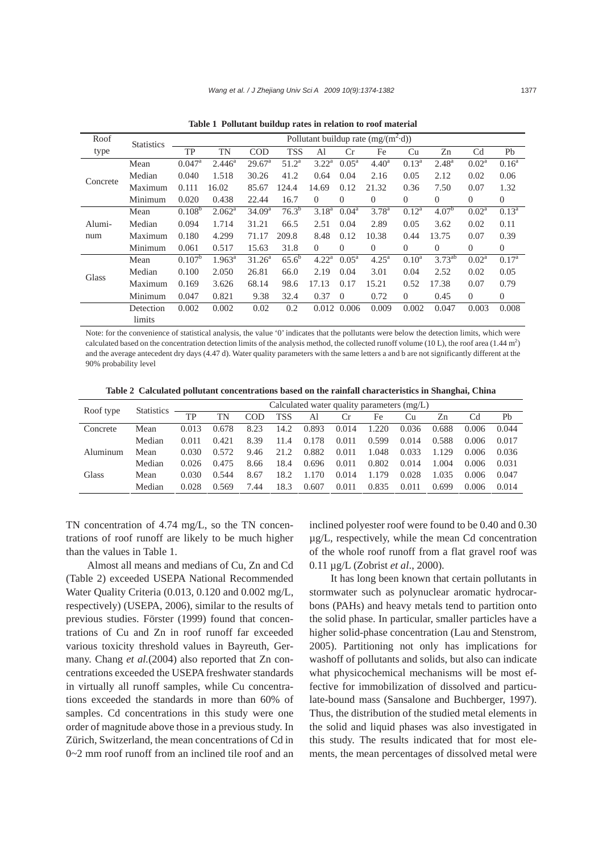| Roof          | <b>Statistics</b> |                    | Pollutant buildup rate $(mg/(m^2 \cdot d))$ |                    |                |                |                |                |                |                   |                |                   |  |
|---------------|-------------------|--------------------|---------------------------------------------|--------------------|----------------|----------------|----------------|----------------|----------------|-------------------|----------------|-------------------|--|
| type          |                   | TP                 | TN                                          | <b>COD</b>         | <b>TSS</b>     | Al             | Cr             | Fe             | Cu             | Zn                | C <sub>d</sub> | Pb                |  |
| Concrete      | Mean              | $0.047^{\text{a}}$ | $2.446^{\circ}$                             | $29.67^{\text{a}}$ | $51.2^{\rm a}$ | $3.22^{\rm a}$ | $0.05^{\rm a}$ | $4.40^{\rm a}$ | $0.13^{\rm a}$ | $2.48^{\rm a}$    | $0.02^{\rm a}$ | $0.16^{\rm a}$    |  |
|               | Median            | 0.040              | 1.518                                       | 30.26              | 41.2           | 0.64           | 0.04           | 2.16           | 0.05           | 2.12              | 0.02           | 0.06              |  |
|               | Maximum           | 0.111              | 16.02                                       | 85.67              | 124.4          | 14.69          | 0.12           | 21.32          | 0.36           | 7.50              | 0.07           | 1.32              |  |
|               | Minimum           | 0.020              | 0.438                                       | 22.44              | 16.7           | $\Omega$       | $\Omega$       | $\Omega$       | $\overline{0}$ | $\Omega$          | $\Omega$       | $\overline{0}$    |  |
| Alumi-<br>num | Mean              | $0.108^{b}$        | $2.062^{\rm a}$                             | 34.09 <sup>a</sup> | $76.3^{b}$     | $3.18^{a}$     | $0.04^{\rm a}$ | $3.78^{a}$     | $0.12^{\rm a}$ | 4.07 <sup>b</sup> | $0.02^{\rm a}$ | $0.13^a$          |  |
|               | Median            | 0.094              | 1.714                                       | 31.21              | 66.5           | 2.51           | 0.04           | 2.89           | 0.05           | 3.62              | 0.02           | 0.11              |  |
|               | Maximum           | 0.180              | 4.299                                       | 71.17              | 209.8          | 8.48           | 0.12           | 10.38          | 0.44           | 13.75             | 0.07           | 0.39              |  |
|               | Minimum           | 0.061              | 0.517                                       | 15.63              | 31.8           | $\Omega$       | $\Omega$       | $\Omega$       | $\theta$       | $\overline{0}$    | $\theta$       | $\overline{0}$    |  |
| Glass         | Mean              | $0.107^b$          | $1.963^{\rm a}$                             | $31.26^a$          | $65.6^{b}$     | $4.22^{\rm a}$ | $0.05^{\rm a}$ | $4.25^{\rm a}$ | $0.10^a$       | $3.73^{ab}$       | $0.02^{\rm a}$ | 0.17 <sup>a</sup> |  |
|               | Median            | 0.100              | 2.050                                       | 26.81              | 66.0           | 2.19           | 0.04           | 3.01           | 0.04           | 2.52              | 0.02           | 0.05              |  |
|               | Maximum           | 0.169              | 3.626                                       | 68.14              | 98.6           | 17.13          | 0.17           | 15.21          | 0.52           | 17.38             | 0.07           | 0.79              |  |
|               | Minimum           | 0.047              | 0.821                                       | 9.38               | 32.4           | 0.37           | $\Omega$       | 0.72           | $\Omega$       | 0.45              | $\Omega$       | $\overline{0}$    |  |
|               | Detection         | 0.002              | 0.002                                       | 0.02               | 0.2            |                | 0.012 0.006    | 0.009          | 0.002          | 0.047             | 0.003          | 0.008             |  |
|               | limits            |                    |                                             |                    |                |                |                |                |                |                   |                |                   |  |

**Table 1 Pollutant buildup rates in relation to roof material** 

Note: for the convenience of statistical analysis, the value '0' indicates that the pollutants were below the detection limits, which were calculated based on the concentration detection limits of the analysis method, the collected runoff volume (10 L), the roof area (1.44 m<sup>2</sup>) and the average antecedent dry days (4.47 d). Water quality parameters with the same letters a and b are not significantly different at the 90% probability level

**Table 2 Calculated pollutant concentrations based on the rainfall characteristics in Shanghai, China** 

| Roof type | <b>Statistics</b> | Calculated water quality parameters $(mg/L)$ |       |      |            |       |       |       |       |       |       |       |
|-----------|-------------------|----------------------------------------------|-------|------|------------|-------|-------|-------|-------|-------|-------|-------|
|           |                   | TP                                           | TN    | COD  | <b>TSS</b> | Al    | Cr    | Fe    | Cu    | Zn    | Cd    | Pb    |
| Concrete  | Mean              | 0.013                                        | 0.678 | 8.23 | 14.2       | 0.893 | 0.014 | 1.220 | 0.036 | 0.688 | 0.006 | 0.044 |
|           | Median            | 0.011                                        | 0.421 | 8.39 | 11.4       | 0.178 | 0.011 | 0.599 | 0.014 | 0.588 | 0.006 | 0.017 |
| Aluminum  | Mean              | 0.030                                        | 0.572 | 9.46 | 21.2       | 0.882 | 0.011 | 1.048 | 0.033 | 1.129 | 0.006 | 0.036 |
|           | Median            | 0.026                                        | 0.475 | 8.66 | 18.4       | 0.696 | 0.011 | 0.802 | 0.014 | 1.004 | 0.006 | 0.031 |
| Glass     | Mean              | 0.030                                        | 0.544 | 8.67 | 18.2       | 1.170 | 0.014 | 1.179 | 0.028 | 1.035 | 0.006 | 0.047 |
|           | Median            | 0.028                                        | 0.569 | 7.44 | 18.3       | 0.607 | 0.011 | 0.835 | 0.011 | 0.699 | 0.006 | 0.014 |

TN concentration of 4.74 mg/L, so the TN concentrations of roof runoff are likely to be much higher than the values in Table 1.

Almost all means and medians of Cu, Zn and Cd (Table 2) exceeded USEPA National Recommended Water Quality Criteria (0.013, 0.120 and 0.002 mg/L, respectively) (USEPA, 2006), similar to the results of previous studies. Förster (1999) found that concentrations of Cu and Zn in roof runoff far exceeded various toxicity threshold values in Bayreuth, Germany. Chang *et al.*(2004) also reported that Zn concentrations exceeded the USEPA freshwater standards in virtually all runoff samples, while Cu concentrations exceeded the standards in more than 60% of samples. Cd concentrations in this study were one order of magnitude above those in a previous study. In Zürich, Switzerland, the mean concentrations of Cd in 0~2 mm roof runoff from an inclined tile roof and an inclined polyester roof were found to be 0.40 and 0.30 µg/L, respectively, while the mean Cd concentration of the whole roof runoff from a flat gravel roof was 0.11 µg/L (Zobrist *et al*., 2000).

It has long been known that certain pollutants in stormwater such as polynuclear aromatic hydrocarbons (PAHs) and heavy metals tend to partition onto the solid phase. In particular, smaller particles have a higher solid-phase concentration (Lau and Stenstrom, 2005). Partitioning not only has implications for washoff of pollutants and solids, but also can indicate what physicochemical mechanisms will be most effective for immobilization of dissolved and particulate-bound mass (Sansalone and Buchberger, 1997). Thus, the distribution of the studied metal elements in the solid and liquid phases was also investigated in this study. The results indicated that for most elements, the mean percentages of dissolved metal were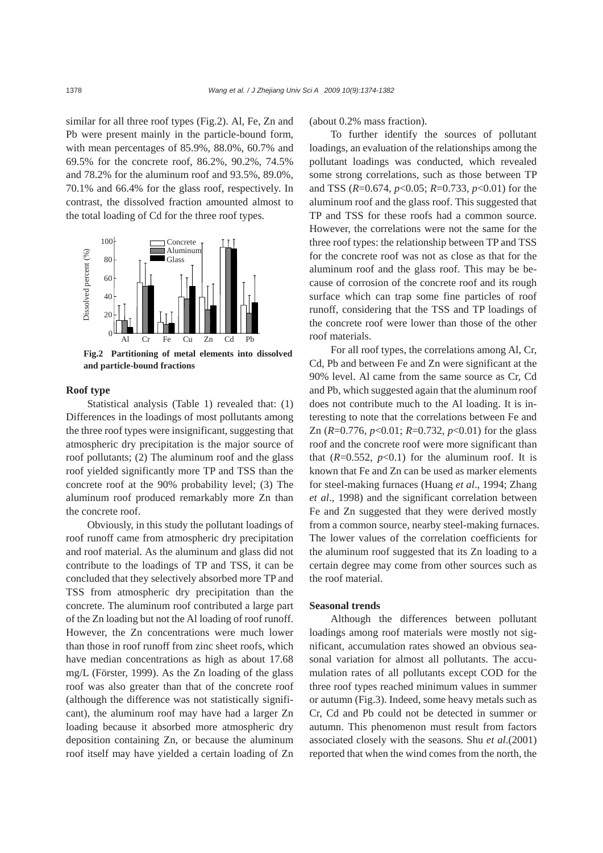similar for all three roof types (Fig.2). Al, Fe, Zn and Pb were present mainly in the particle-bound form, with mean percentages of 85.9%, 88.0%, 60.7% and 69.5% for the concrete roof, 86.2%, 90.2%, 74.5% and 78.2% for the aluminum roof and 93.5%, 89.0%, 70.1% and 66.4% for the glass roof, respectively. In contrast, the dissolved fraction amounted almost to the total loading of Cd for the three roof types.



**Fig.2 Partitioning of metal elements into dissolved and particle-bound fractions** 

#### **Roof type**

Statistical analysis (Table 1) revealed that: (1) Differences in the loadings of most pollutants among the three roof types were insignificant, suggesting that atmospheric dry precipitation is the major source of roof pollutants; (2) The aluminum roof and the glass roof yielded significantly more TP and TSS than the concrete roof at the 90% probability level; (3) The aluminum roof produced remarkably more Zn than the concrete roof.

Obviously, in this study the pollutant loadings of roof runoff came from atmospheric dry precipitation and roof material. As the aluminum and glass did not contribute to the loadings of TP and TSS, it can be concluded that they selectively absorbed more TP and TSS from atmospheric dry precipitation than the concrete. The aluminum roof contributed a large part of the Zn loading but not the Al loading of roof runoff. However, the Zn concentrations were much lower than those in roof runoff from zinc sheet roofs, which have median concentrations as high as about 17.68 mg/L (Förster, 1999). As the Zn loading of the glass roof was also greater than that of the concrete roof (although the difference was not statistically significant), the aluminum roof may have had a larger Zn loading because it absorbed more atmospheric dry deposition containing Zn, or because the aluminum roof itself may have yielded a certain loading of Zn

(about 0.2% mass fraction).

To further identify the sources of pollutant loadings, an evaluation of the relationships among the pollutant loadings was conducted, which revealed some strong correlations, such as those between TP and TSS (*R*=0.674, *p*<0.05; *R*=0.733, *p*<0.01) for the aluminum roof and the glass roof. This suggested that TP and TSS for these roofs had a common source. However, the correlations were not the same for the three roof types: the relationship between TP and TSS for the concrete roof was not as close as that for the aluminum roof and the glass roof. This may be because of corrosion of the concrete roof and its rough surface which can trap some fine particles of roof runoff, considering that the TSS and TP loadings of the concrete roof were lower than those of the other roof materials.

For all roof types, the correlations among Al, Cr, Cd, Pb and between Fe and Zn were significant at the 90% level. Al came from the same source as Cr, Cd and Pb, which suggested again that the aluminum roof does not contribute much to the Al loading. It is interesting to note that the correlations between Fe and Zn (*R*=0.776, *p*<0.01; *R*=0.732, *p*<0.01) for the glass roof and the concrete roof were more significant than that  $(R=0.552, p<0.1)$  for the aluminum roof. It is known that Fe and Zn can be used as marker elements for steel-making furnaces (Huang *et al*., 1994; Zhang *et al*., 1998) and the significant correlation between Fe and Zn suggested that they were derived mostly from a common source, nearby steel-making furnaces. The lower values of the correlation coefficients for the aluminum roof suggested that its Zn loading to a certain degree may come from other sources such as the roof material.

## **Seasonal trends**

Although the differences between pollutant loadings among roof materials were mostly not significant, accumulation rates showed an obvious seasonal variation for almost all pollutants. The accumulation rates of all pollutants except COD for the three roof types reached minimum values in summer or autumn (Fig.3). Indeed, some heavy metals such as Cr, Cd and Pb could not be detected in summer or autumn. This phenomenon must result from factors associated closely with the seasons. Shu *et al*.(2001) reported that when the wind comes from the north, the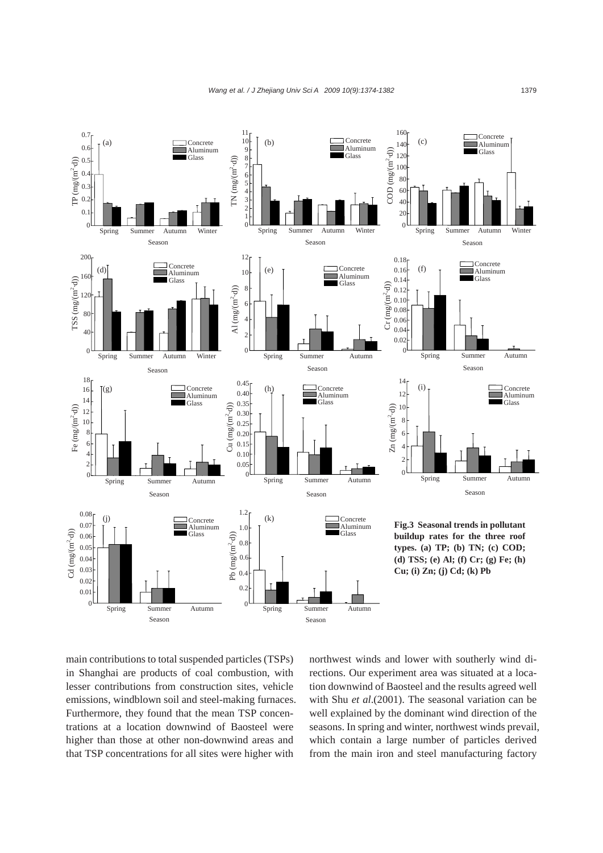

main contributions to total suspended particles (TSPs) in Shanghai are products of coal combustion, with lesser contributions from construction sites, vehicle emissions, windblown soil and steel-making furnaces. Furthermore, they found that the mean TSP concentrations at a location downwind of Baosteel were higher than those at other non-downwind areas and that TSP concentrations for all sites were higher with

northwest winds and lower with southerly wind directions. Our experiment area was situated at a location downwind of Baosteel and the results agreed well with Shu *et al*.(2001). The seasonal variation can be well explained by the dominant wind direction of the seasons. In spring and winter, northwest winds prevail, which contain a large number of particles derived from the main iron and steel manufacturing factory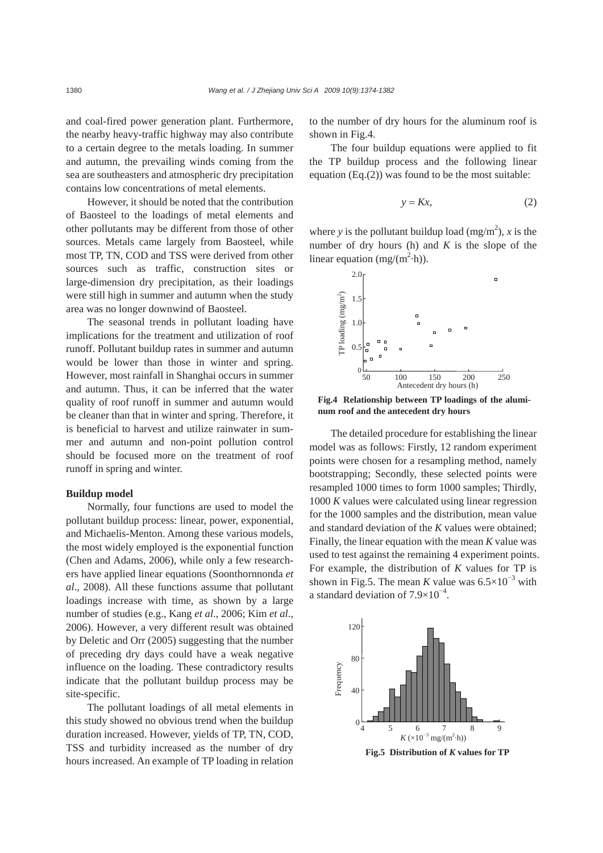and coal-fired power generation plant. Furthermore, the nearby heavy-traffic highway may also contribute to a certain degree to the metals loading. In summer and autumn, the prevailing winds coming from the sea are southeasters and atmospheric dry precipitation contains low concentrations of metal elements.

However, it should be noted that the contribution of Baosteel to the loadings of metal elements and other pollutants may be different from those of other sources. Metals came largely from Baosteel, while most TP, TN, COD and TSS were derived from other sources such as traffic, construction sites or large-dimension dry precipitation, as their loadings were still high in summer and autumn when the study area was no longer downwind of Baosteel.

The seasonal trends in pollutant loading have implications for the treatment and utilization of roof runoff. Pollutant buildup rates in summer and autumn would be lower than those in winter and spring. However, most rainfall in Shanghai occurs in summer and autumn. Thus, it can be inferred that the water quality of roof runoff in summer and autumn would be cleaner than that in winter and spring. Therefore, it is beneficial to harvest and utilize rainwater in summer and autumn and non-point pollution control should be focused more on the treatment of roof runoff in spring and winter.

## **Buildup model**

Normally, four functions are used to model the pollutant buildup process: linear, power, exponential, and Michaelis-Menton. Among these various models, the most widely employed is the exponential function (Chen and Adams, 2006), while only a few researchers have applied linear equations (Soonthornnonda *et al*., 2008). All these functions assume that pollutant loadings increase with time, as shown by a large number of studies (e.g., Kang *et al*., 2006; Kim *et al*., 2006). However, a very different result was obtained by Deletic and Orr (2005) suggesting that the number of preceding dry days could have a weak negative influence on the loading. These contradictory results indicate that the pollutant buildup process may be site-specific.

The pollutant loadings of all metal elements in this study showed no obvious trend when the buildup duration increased. However, yields of TP, TN, COD, TSS and turbidity increased as the number of dry hours increased. An example of TP loading in relation

to the number of dry hours for the aluminum roof is shown in Fig.4.

The four buildup equations were applied to fit the TP buildup process and the following linear equation (Eq.(2)) was found to be the most suitable:

$$
y = Kx,\tag{2}
$$

where *y* is the pollutant buildup load  $(mg/m<sup>2</sup>)$ , *x* is the number of dry hours (h) and *K* is the slope of the linear equation  $(mg/(m^2 \cdot h))$ .



**Fig.4 Relationship between TP loadings of the aluminum roof and the antecedent dry hours** 

The detailed procedure for establishing the linear model was as follows: Firstly, 12 random experiment points were chosen for a resampling method, namely bootstrapping; Secondly, these selected points were resampled 1000 times to form 1000 samples; Thirdly, 1000 *K* values were calculated using linear regression for the 1000 samples and the distribution, mean value and standard deviation of the *K* values were obtained; Finally, the linear equation with the mean *K* value was used to test against the remaining 4 experiment points. For example, the distribution of *K* values for TP is shown in Fig.5. The mean *K* value was  $6.5 \times 10^{-3}$  with a standard deviation of  $7.9\times10^{-4}$ .



**Fig.5 Distribution of** *K* **values for TP**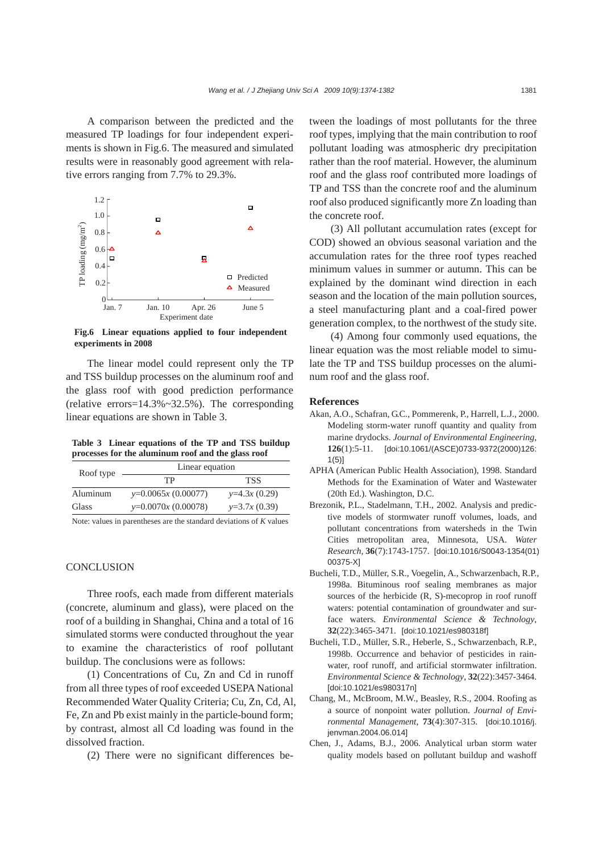A comparison between the predicted and the measured TP loadings for four independent experiments is shown in Fig.6. The measured and simulated results were in reasonably good agreement with relative errors ranging from 7.7% to 29.3%.



**Fig.6 Linear equations applied to four independent experiments in 2008** 

The linear model could represent only the TP and TSS buildup processes on the aluminum roof and the glass roof with good prediction performance (relative errors=14.3%~32.5%). The corresponding linear equations are shown in Table 3.

**Table 3 Linear equations of the TP and TSS buildup processes for the aluminum roof and the glass roof** 

| Roof type | Linear equation      |                |  |  |  |  |  |  |
|-----------|----------------------|----------------|--|--|--|--|--|--|
|           | TР                   | <b>TSS</b>     |  |  |  |  |  |  |
| Aluminum  | $y=0.0065x(0.00077)$ | $y=4.3x(0.29)$ |  |  |  |  |  |  |
| Glass     | $y=0.0070x(0.00078)$ | $y=3.7x(0.39)$ |  |  |  |  |  |  |

Note: values in parentheses are the standard deviations of *K* values

## **CONCLUSION**

Three roofs, each made from different materials (concrete, aluminum and glass), were placed on the roof of a building in Shanghai, China and a total of 16 simulated storms were conducted throughout the year to examine the characteristics of roof pollutant buildup. The conclusions were as follows:

(1) Concentrations of Cu, Zn and Cd in runoff from all three types of roof exceeded USEPA National Recommended Water Quality Criteria; Cu, Zn, Cd, Al, Fe, Zn and Pb exist mainly in the particle-bound form; by contrast, almost all Cd loading was found in the dissolved fraction.

(2) There were no significant differences be-

tween the loadings of most pollutants for the three roof types, implying that the main contribution to roof pollutant loading was atmospheric dry precipitation rather than the roof material. However, the aluminum roof and the glass roof contributed more loadings of TP and TSS than the concrete roof and the aluminum roof also produced significantly more Zn loading than the concrete roof.

(3) All pollutant accumulation rates (except for COD) showed an obvious seasonal variation and the accumulation rates for the three roof types reached minimum values in summer or autumn. This can be explained by the dominant wind direction in each season and the location of the main pollution sources, a steel manufacturing plant and a coal-fired power generation complex, to the northwest of the study site.

(4) Among four commonly used equations, the linear equation was the most reliable model to simulate the TP and TSS buildup processes on the aluminum roof and the glass roof.

#### **References**

- Akan, A.O., Schafran, G.C., Pommerenk, P., Harrell, L.J., 2000. Modeling storm-water runoff quantity and quality from marine drydocks. *Journal of Environmental Engineering*, **126**(1):5-11. [doi:10.1061/(ASCE)0733-9372(2000)126: 1(5)]
- APHA (American Public Health Association), 1998. Standard Methods for the Examination of Water and Wastewater (20th Ed.). Washington, D.C.
- Brezonik, P.L., Stadelmann, T.H., 2002. Analysis and predictive models of stormwater runoff volumes, loads, and pollutant concentrations from watersheds in the Twin Cities metropolitan area, Minnesota, USA. *Water Research*, **36**(7):1743-1757. [doi:10.1016/S0043-1354(01) 00375-X]
- Bucheli, T.D., Müller, S.R., Voegelin, A., Schwarzenbach, R.P., 1998a. Bituminous roof sealing membranes as major sources of the herbicide (R, S)-mecoprop in roof runoff waters: potential contamination of groundwater and surface waters. *Environmental Science & Technology*, **32**(22):3465-3471. [doi:10.1021/es980318f]
- Bucheli, T.D., Müller, S.R., Heberle, S., Schwarzenbach, R.P., 1998b. Occurrence and behavior of pesticides in rainwater, roof runoff, and artificial stormwater infiltration. *Environmental Science & Technology*, **32**(22):3457-3464. [doi:10.1021/es980317n]
- Chang, M., McBroom, M.W., Beasley, R.S., 2004. Roofing as a source of nonpoint water pollution. *Journal of Environmental Management*, **73**(4):307-315. [doi:10.1016/j. jenvman.2004.06.014]
- Chen, J., Adams, B.J., 2006. Analytical urban storm water quality models based on pollutant buildup and washoff